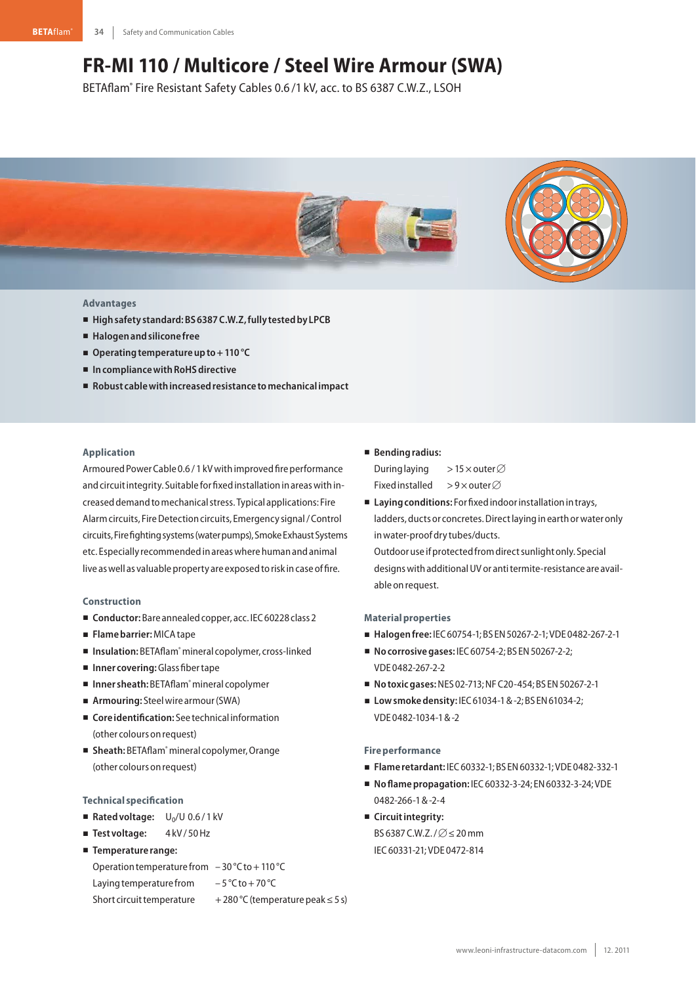# **FR-MI 110 / Multicore / Steel Wire Armour (SWA)**

BETAflam® Fire Resistant Safety Cables 0.6 /1 kV, acc. to BS 6387 C.W.Z., LSOH



## **Advantages**

- **Highsafety standard:BS6387C.W.Z,fully testedby LPCB**
- **Halogenandsilicone free**
- Operating temperature up to + 110 °C
- In compliance with RoHS directive
- **Robust cablewithincreasedresistance tomechanicalimpact**

# **Application**

Armoured Power Cable 0.6 / 1 kV with improved fire performance and circuit integrity. Suitable for fixed installation in areas with increaseddemandtomechanicalstress. Typical applications: Fire Alarm circuits, Fire Detection circuits, Emergency signal / Control circuits,Firefightingsystems(waterpumps),SmokeExhaustSystems etc. Especially recommended in areas where human and animal live as well as valuable property are exposed to risk in case of fire.

#### **Construction**

- Conductor: Bare annealed copper, acc. IEC 60228 class 2
- **Flamebarrier:**MICAtape
- Insulation: BETAflam<sup>®</sup> mineral copolymer, cross-linked
- **Inner covering:**Glass fibertape
- Inner sheath: BETAflam<sup>®</sup> mineral copolymer
- Armouring: Steel wire armour (SWA)
- **Core identification:** See technical information (other colours onrequest)
- Sheath: BETAflam<sup>®</sup> mineral copolymer, Orange (other colours onrequest)

#### **Technical specification**

- Rated voltage: U<sub>0</sub>/U 0.6/1 kV
- Test voltage: 4kV/50Hz
- **Temperature range:**

Operation temperature from  $-30$  °C to + 110 °C Laying temperature from  $-5^{\circ}$ C to + 70 °C Short circuit temperature  $+280 °C$  (temperature peak  $\leq 5 s$ )

# - **Bendingradius:**

During laying >15  $\times$  outer  $\varnothing$ Fixed installed >9×outer $\varnothing$ 

■ Laying conditions: For fixed indoor installation in trays, ladders, ducts or concretes. Direct laying in earth or water only inwater-proofdry tubes/ducts.

Outdooruse ifprotectedfromdirectsunlight only. Special designs with additional UV or anti termite-resistance are available on request.

#### **Materialproperties**

- **Halogenfree:** IEC60754-1;BS EN50267-2-1;VDE 0482-267-2-1
- **No corrosive gases:** IEC 60754-2; BS EN 50267-2-2; VDE 0482-267-2-2
- **Notoxicgases:**NES 02-713;NFC20-454;BS EN50267-2-1
- Low smoke density: IEC 61034-1 & -2; BS EN 61034-2; VDE 0482-1034-1&-2

## **Fire performance**

- **Flame retardant:** IEC60332-1;BS EN60332-1;VDE 0482-332-1
- **Noflamepropagation:** IEC60332-3-24; EN60332-3-24;VDE 0482-266-1&-2-4
- **E** Circuit integrity: BS 6387 C.W.Z. /  $\varnothing$   $\leq$  20 mm IEC60331-21;VDE 0472-814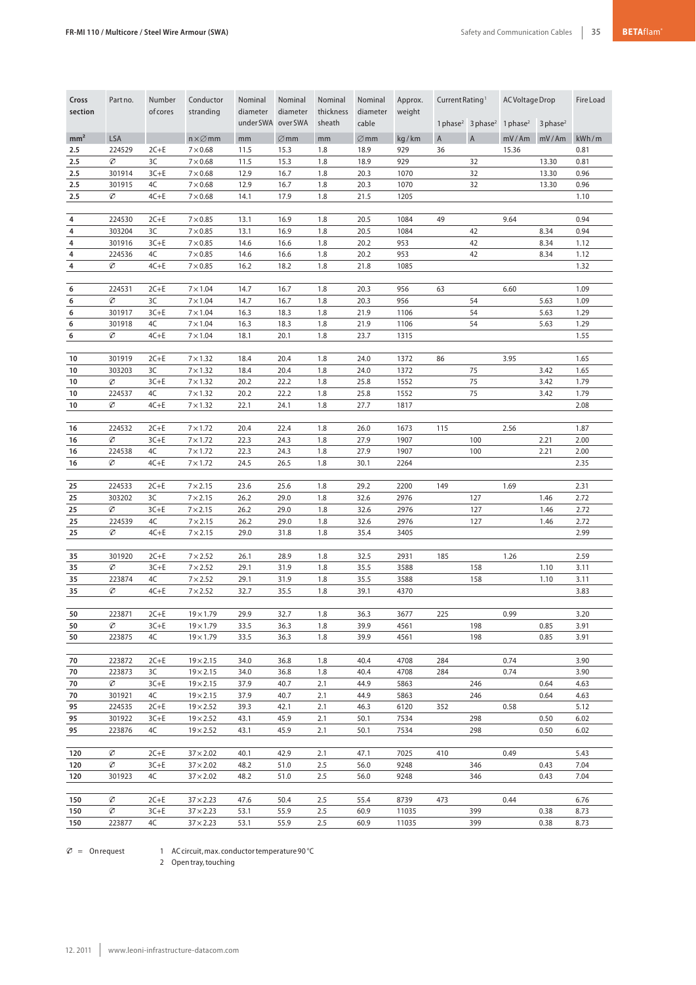| Cross<br>section | Part no.    | Number<br>of cores | Conductor<br>stranding               | Nominal<br>diameter<br>under SWA over SWA | Nominal<br>diameter | Nominal<br>thickness<br>sheath | Nominal<br>diameter<br>cable | Approx.<br>weight | Current Rating <sup>1</sup><br>1 phase <sup>2</sup> 3 phase <sup>2</sup> |                | AC Voltage Drop<br>$1$ phase <sup>2</sup><br>3 phase <sup>2</sup> |       | Fire Load    |
|------------------|-------------|--------------------|--------------------------------------|-------------------------------------------|---------------------|--------------------------------|------------------------------|-------------------|--------------------------------------------------------------------------|----------------|-------------------------------------------------------------------|-------|--------------|
| mm <sup>2</sup>  | <b>LSA</b>  |                    | $n \times \varnothing$ mm            | mm                                        | $\varnothing$ mm    | mm                             | $\varnothing$ mm             | kg/km             | $\mathsf{A}$                                                             | $\overline{A}$ | mV/Am                                                             | mV/Am | kWh/m        |
| 2.5              | 224529      | $2C+E$             | $7\times0.68$                        | 11.5                                      | 15.3                | 1.8                            | 18.9                         | 929               | 36                                                                       |                | 15.36                                                             |       | 0.81         |
| 2.5              | Ø           | 3C                 | $7\times0.68$                        | 11.5                                      | 15.3                | 1.8                            | 18.9                         | 929               |                                                                          | 32             |                                                                   | 13.30 | 0.81         |
| 2.5              | 301914      | $3C + E$           | $7\times0.68$                        | 12.9                                      | 16.7                | 1.8                            | 20.3                         | 1070              |                                                                          | 32             |                                                                   | 13.30 | 0.96         |
| 2.5              | 301915      | 4C                 | $7 \times 0.68$                      | 12.9                                      | 16.7                | 1.8                            | 20.3                         | 1070              |                                                                          | 32             |                                                                   | 13.30 | 0.96         |
| 2.5              | Ø           | $4C + E$           | $7\times0.68$                        | 14.1                                      | 17.9                | 1.8                            | 21.5                         | 1205              |                                                                          |                |                                                                   |       | 1.10         |
|                  |             |                    |                                      |                                           |                     |                                |                              |                   |                                                                          |                |                                                                   |       |              |
| 4                | 224530      | $2C+E$             | $7\times0.85$                        | 13.1                                      | 16.9                | 1.8                            | 20.5                         | 1084              | 49                                                                       |                | 9.64                                                              |       | 0.94         |
| 4                | 303204      | 3C                 | $7 \times 0.85$                      | 13.1                                      | 16.9                | 1.8                            | 20.5                         | 1084              |                                                                          | 42             |                                                                   | 8.34  | 0.94         |
| 4                | 301916      | $3C+E$             | $7 \times 0.85$                      | 14.6                                      | 16.6                | 1.8                            | 20.2                         | 953               |                                                                          | 42             |                                                                   | 8.34  | 1.12         |
| 4                | 224536      | 4C                 | $7 \times 0.85$                      | 14.6                                      | 16.6                | 1.8                            | 20.2                         | 953               |                                                                          | 42             |                                                                   | 8.34  | 1.12         |
| 4                | Ø           | $4C + E$           | $7 \times 0.85$                      | 16.2                                      | 18.2                | 1.8                            | 21.8                         | 1085              |                                                                          |                |                                                                   |       | 1.32         |
|                  |             |                    |                                      |                                           |                     |                                |                              |                   |                                                                          |                |                                                                   |       |              |
| 6                | 224531      | $2C+E$             | $7 \times 1.04$                      | 14.7                                      | 16.7                | 1.8                            | 20.3                         | 956               | 63                                                                       |                | 6.60                                                              |       | 1.09         |
| 6                | Ø           | 3C                 | $7 \times 1.04$                      | 14.7                                      | 16.7                | 1.8                            | 20.3                         | 956               |                                                                          | 54             |                                                                   | 5.63  | 1.09         |
| 6                | 301917      | $3C+E$             | $7 \times 1.04$                      | 16.3                                      | 18.3                | 1.8                            | 21.9                         | 1106              |                                                                          | 54             |                                                                   | 5.63  | 1.29         |
| 6                | 301918      | 4C                 | $7 \times 1.04$                      | 16.3                                      | 18.3                | 1.8                            | 21.9                         | 1106              |                                                                          | 54             |                                                                   | 5.63  | 1.29         |
| 6                | Ø           | $4C + E$           | $7 \times 1.04$                      | 18.1                                      | 20.1                | 1.8                            | 23.7                         | 1315              |                                                                          |                |                                                                   |       | 1.55         |
|                  |             |                    |                                      |                                           |                     |                                |                              |                   |                                                                          |                |                                                                   |       |              |
| 10               | 301919      | $2C+E$             | $7 \times 1.32$                      | 18.4                                      | 20.4                | 1.8                            | 24.0                         | 1372              | 86                                                                       |                | 3.95                                                              |       | 1.65         |
| 10               | 303203      | 3C                 | $7 \times 1.32$                      | 18.4                                      | 20.4                | 1.8                            | 24.0                         | 1372              |                                                                          | 75             |                                                                   | 3.42  | 1.65         |
| 10               | Ø           | $3C + E$           | $7 \times 1.32$                      | 20.2                                      | 22.2                | 1.8                            | 25.8                         | 1552              |                                                                          | 75             |                                                                   | 3.42  | 1.79         |
| 10<br>10         | 224537<br>Ø | 4C<br>$4C + E$     | $7 \times 1.32$<br>$7 \times 1.32$   | 20.2<br>22.1                              | 22.2<br>24.1        | 1.8<br>1.8                     | 25.8<br>27.7                 | 1552<br>1817      |                                                                          | 75             |                                                                   | 3.42  | 1.79<br>2.08 |
|                  |             |                    |                                      |                                           |                     |                                |                              |                   |                                                                          |                |                                                                   |       |              |
| 16               | 224532      | $2C + E$           | $7 \times 1.72$                      | 20.4                                      | 22.4                | 1.8                            | 26.0                         | 1673              | 115                                                                      |                | 2.56                                                              |       | 1.87         |
| 16               | Ø           | $3C + E$           | $7 \times 1.72$                      | 22.3                                      | 24.3                | 1.8                            | 27.9                         | 1907              |                                                                          | 100            |                                                                   | 2.21  | 2.00         |
| 16               | 224538      | 4C                 | $7 \times 1.72$                      | 22.3                                      | 24.3                | 1.8                            | 27.9                         | 1907              |                                                                          | 100            |                                                                   | 2.21  | 2.00         |
| 16               | Ø           | $4C + E$           | $7 \times 1.72$                      | 24.5                                      | 26.5                | 1.8                            | 30.1                         | 2264              |                                                                          |                |                                                                   |       | 2.35         |
|                  |             |                    |                                      |                                           |                     |                                |                              |                   |                                                                          |                |                                                                   |       |              |
| 25               | 224533      | $2C+E$             | $7 \times 2.15$                      | 23.6                                      | 25.6                | 1.8                            | 29.2                         | 2200              | 149                                                                      |                | 1.69                                                              |       | 2.31         |
| 25               | 303202      | 3C                 | $7 \times 2.15$                      | 26.2                                      | 29.0                | 1.8                            | 32.6                         | 2976              |                                                                          | 127            |                                                                   | 1.46  | 2.72         |
| 25               | Ø           | $3C+E$             | $7 \times 2.15$                      | 26.2                                      | 29.0                | 1.8                            | 32.6                         | 2976              |                                                                          | 127            |                                                                   | 1.46  | 2.72         |
| 25               | 224539      | 4C                 | $7 \times 2.15$                      | 26.2                                      | 29.0                | 1.8                            | 32.6                         | 2976              |                                                                          | 127            |                                                                   | 1.46  | 2.72         |
| 25               | Ø           | $4C + E$           | $7 \times 2.15$                      | 29.0                                      | 31.8                | 1.8                            | 35.4                         | 3405              |                                                                          |                |                                                                   |       | 2.99         |
|                  |             |                    |                                      |                                           |                     |                                |                              |                   |                                                                          |                |                                                                   |       |              |
| 35               | 301920      | $2C+E$             | $7 \times 2.52$                      | 26.1                                      | 28.9                | 1.8                            | 32.5                         | 2931              | 185                                                                      |                | 1.26                                                              |       | 2.59         |
| 35               | Ø           | $3C + E$           | $7 \times 2.52$                      | 29.1                                      | 31.9                | 1.8                            | 35.5                         | 3588              |                                                                          | 158            |                                                                   | 1.10  | 3.11         |
| 35               | 223874      | 4C                 | $7 \times 2.52$                      | 29.1                                      | 31.9                | 1.8                            | 35.5                         | 3588              |                                                                          | 158            |                                                                   | 1.10  | 3.11         |
| 35               | Ø           | $4C + E$           | $7 \times 2.52$                      | 32.7                                      | 35.5                | 1.8                            | 39.1                         | 4370              |                                                                          |                |                                                                   |       | 3.83         |
|                  |             |                    |                                      |                                           |                     |                                |                              |                   |                                                                          |                |                                                                   |       |              |
| 50               | 223871      | $2C+E$             | $19 \times 1.79$                     | 29.9                                      | 32.7                | 1.8                            | 36.3                         | 3677              | 225                                                                      |                | 0.99                                                              |       | 3.20         |
| 50               | Ø           | $3C + E$           | $19\times1.79$                       | 33.5                                      | 36.3                | 1.8                            | 39.9                         | 4561              |                                                                          | 198            |                                                                   | 0.85  | 3.91         |
| 50               | 223875      | 4C                 | $19 \times 1.79$                     | 33.5                                      | 36.3                | 1.8                            | 39.9                         | 4561              |                                                                          | 198            |                                                                   | 0.85  | 3.91         |
| 70               | 223872      |                    |                                      |                                           | 36.8                | 1.8                            | 40.4                         | 4708              | 284                                                                      |                | 0.74                                                              |       | 3.90         |
| 70               | 223873      | $2C+E$<br>3C       | $19 \times 2.15$<br>$19 \times 2.15$ | 34.0<br>34.0                              | 36.8                | 1.8                            | 40.4                         | 4708              | 284                                                                      |                | 0.74                                                              |       | 3.90         |
| 70               | Ø           | $3C + E$           | $19 \times 2.15$                     | 37.9                                      | 40.7                | 2.1                            | 44.9                         | 5863              |                                                                          | 246            |                                                                   | 0.64  | 4.63         |
| 70               | 301921      | 4C                 | $19 \times 2.15$                     | 37.9                                      | 40.7                | 2.1                            | 44.9                         | 5863              |                                                                          | 246            |                                                                   | 0.64  | 4.63         |
| 95               | 224535      | $2C+E$             | $19 \times 2.52$                     | 39.3                                      | 42.1                | 2.1                            | 46.3                         | 6120              | 352                                                                      |                | 0.58                                                              |       | 5.12         |
| 95               | 301922      | $3C + E$           | $19 \times 2.52$                     | 43.1                                      | 45.9                | 2.1                            | 50.1                         | 7534              |                                                                          | 298            |                                                                   | 0.50  | 6.02         |
| 95               | 223876      | 4C                 | $19 \times 2.52$                     | 43.1                                      | 45.9                | 2.1                            | 50.1                         | 7534              |                                                                          | 298            |                                                                   | 0.50  | 6.02         |
|                  |             |                    |                                      |                                           |                     |                                |                              |                   |                                                                          |                |                                                                   |       |              |
| 120              | Ø           | $2C+E$             | $37 \times 2.02$                     | 40.1                                      | 42.9                | 2.1                            | 47.1                         | 7025              | 410                                                                      |                | 0.49                                                              |       | 5.43         |
| 120              | Ø           | $3C+E$             | $37 \times 2.02$                     | 48.2                                      | 51.0                | 2.5                            | 56.0                         | 9248              |                                                                          | 346            |                                                                   | 0.43  | 7.04         |
| 120              | 301923      | 4C                 | $37 \times 2.02$                     | 48.2                                      | 51.0                | 2.5                            | 56.0                         | 9248              |                                                                          | 346            |                                                                   | 0.43  | 7.04         |
|                  |             |                    |                                      |                                           |                     |                                |                              |                   |                                                                          |                |                                                                   |       |              |
| 150              | Ø           | $2C+E$             | $37 \times 2.23$                     | 47.6                                      | 50.4                | 2.5                            | 55.4                         | 8739              | 473                                                                      |                | 0.44                                                              |       | 6.76         |
| 150              | Ø           | $3C + E$           | $37 \times 2.23$                     | 53.1                                      | 55.9                | 2.5                            | 60.9                         | 11035             |                                                                          | 399            |                                                                   | 0.38  | 8.73         |
| 150              | 223877      | 4C                 | $37 \times 2.23$                     | 53.1                                      | 55.9                | 2.5                            | 60.9                         | 11035             |                                                                          | 399            |                                                                   | 0.38  | 8.73         |
|                  |             |                    |                                      |                                           |                     |                                |                              |                   |                                                                          |                |                                                                   |       |              |

 $\varnothing$  = Onrequest 1 AC circuit, max. conductor temperature 90 °C

2 Opentray,touching